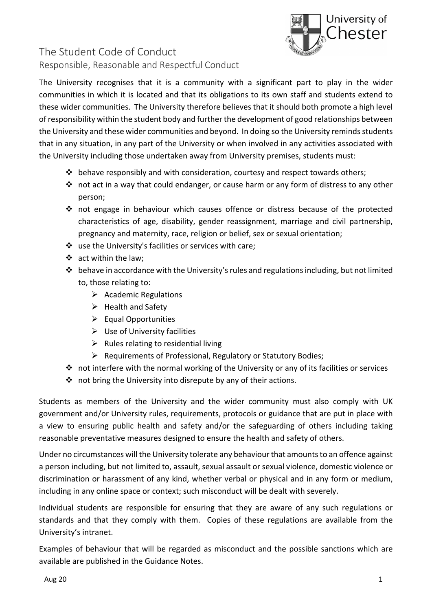

## The Student Code of Conduct Responsible, Reasonable and Respectful Conduct

The University recognises that it is a community with a significant part to play in the wider communities in which it is located and that its obligations to its own staff and students extend to these wider communities. The University therefore believes that it should both promote a high level of responsibility within the student body and further the development of good relationships between the University and these wider communities and beyond. In doing so the University reminds students that in any situation, in any part of the University or when involved in any activities associated with the University including those undertaken away from University premises, students must:

- $\clubsuit$  behave responsibly and with consideration, courtesy and respect towards others;
- $\cdot \cdot$  not act in a way that could endanger, or cause harm or any form of distress to any other person;
- not engage in behaviour which causes offence or distress because of the protected characteristics of age, disability, gender reassignment, marriage and civil partnership, pregnancy and maternity, race, religion or belief, sex or sexual orientation;
- use the University's facilities or services with care;
- act within the law;
- behave in accordance with the University's rules and regulations including, but not limited to, those relating to:
	- $\triangleright$  Academic Regulations
	- $\triangleright$  Health and Safety
	- $\triangleright$  Equal Opportunities
	- $\triangleright$  Use of University facilities
	- $\triangleright$  Rules relating to residential living
	- $\triangleright$  Requirements of Professional, Regulatory or Statutory Bodies;
- not interfere with the normal working of the University or any of its facilities or services
- $\cdot \cdot$  not bring the University into disrepute by any of their actions.

Students as members of the University and the wider community must also comply with UK government and/or University rules, requirements, protocols or guidance that are put in place with a view to ensuring public health and safety and/or the safeguarding of others including taking reasonable preventative measures designed to ensure the health and safety of others.

Under no circumstances will the University tolerate any behaviour that amounts to an offence against a person including, but not limited to, assault, sexual assault or sexual violence, domestic violence or discrimination or harassment of any kind, whether verbal or physical and in any form or medium, including in any online space or context; such misconduct will be dealt with severely.

Individual students are responsible for ensuring that they are aware of any such regulations or standards and that they comply with them. Copies of these regulations are available from the University's intranet.

Examples of behaviour that will be regarded as misconduct and the possible sanctions which are available are published in the Guidance Notes.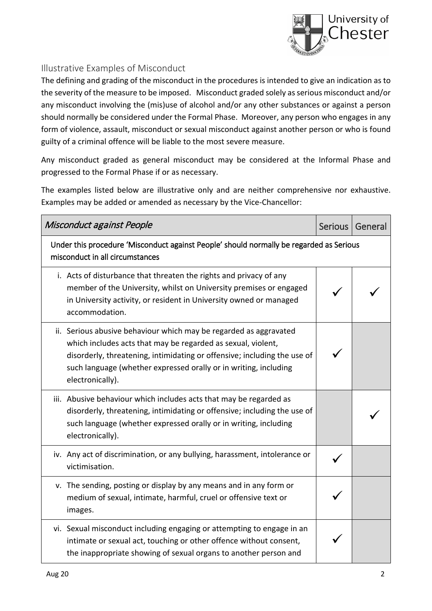

## Illustrative Examples of Misconduct

The defining and grading of the misconduct in the procedures is intended to give an indication as to the severity of the measure to be imposed. Misconduct graded solely as serious misconduct and/or any misconduct involving the (mis)use of alcohol and/or any other substances or against a person should normally be considered under the Formal Phase. Moreover, any person who engages in any form of violence, assault, misconduct or sexual misconduct against another person or who is found guilty of a criminal offence will be liable to the most severe measure.

Any misconduct graded as general misconduct may be considered at the Informal Phase and progressed to the Formal Phase if or as necessary.

The examples listed below are illustrative only and are neither comprehensive nor exhaustive. Examples may be added or amended as necessary by the Vice-Chancellor:

| Misconduct against People                                                                                                                                                                                                                                                                             | Serious | General |  |
|-------------------------------------------------------------------------------------------------------------------------------------------------------------------------------------------------------------------------------------------------------------------------------------------------------|---------|---------|--|
| Under this procedure 'Misconduct against People' should normally be regarded as Serious<br>misconduct in all circumstances                                                                                                                                                                            |         |         |  |
| i. Acts of disturbance that threaten the rights and privacy of any<br>member of the University, whilst on University premises or engaged<br>in University activity, or resident in University owned or managed<br>accommodation.                                                                      |         |         |  |
| ii. Serious abusive behaviour which may be regarded as aggravated<br>which includes acts that may be regarded as sexual, violent,<br>disorderly, threatening, intimidating or offensive; including the use of<br>such language (whether expressed orally or in writing, including<br>electronically). |         |         |  |
| iii. Abusive behaviour which includes acts that may be regarded as<br>disorderly, threatening, intimidating or offensive; including the use of<br>such language (whether expressed orally or in writing, including<br>electronically).                                                                |         |         |  |
| iv. Any act of discrimination, or any bullying, harassment, intolerance or<br>victimisation.                                                                                                                                                                                                          |         |         |  |
| v. The sending, posting or display by any means and in any form or<br>medium of sexual, intimate, harmful, cruel or offensive text or<br>images.                                                                                                                                                      |         |         |  |
| vi. Sexual misconduct including engaging or attempting to engage in an<br>intimate or sexual act, touching or other offence without consent,<br>the inappropriate showing of sexual organs to another person and                                                                                      |         |         |  |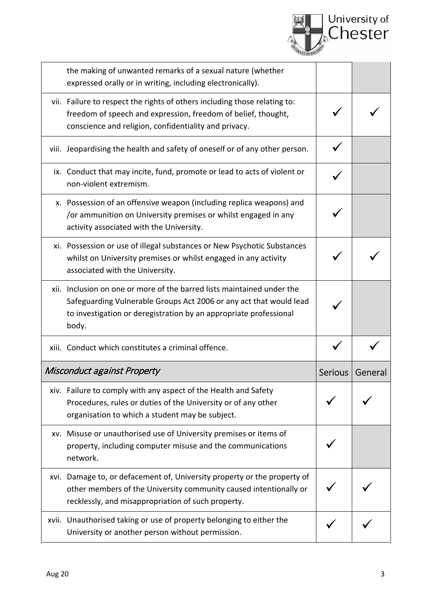

| the making of unwanted remarks of a sexual nature (whether<br>expressed orally or in writing, including electronically).                                                                                                   |                |         |
|----------------------------------------------------------------------------------------------------------------------------------------------------------------------------------------------------------------------------|----------------|---------|
| vii. Failure to respect the rights of others including those relating to:<br>freedom of speech and expression, freedom of belief, thought,<br>conscience and religion, confidentiality and privacy.                        |                |         |
| viii. Jeopardising the health and safety of oneself or of any other person.                                                                                                                                                |                |         |
| ix. Conduct that may incite, fund, promote or lead to acts of violent or<br>non-violent extremism.                                                                                                                         |                |         |
| x. Possession of an offensive weapon (including replica weapons) and<br>/or ammunition on University premises or whilst engaged in any<br>activity associated with the University.                                         |                |         |
| xi. Possession or use of illegal substances or New Psychotic Substances<br>whilst on University premises or whilst engaged in any activity<br>associated with the University.                                              |                |         |
| xii. Inclusion on one or more of the barred lists maintained under the<br>Safeguarding Vulnerable Groups Act 2006 or any act that would lead<br>to investigation or deregistration by an appropriate professional<br>body. |                |         |
| xiii. Conduct which constitutes a criminal offence.                                                                                                                                                                        |                |         |
| Misconduct against Property                                                                                                                                                                                                | <b>Serious</b> | General |
| xiv. Failure to comply with any aspect of the Health and Safety<br>Procedures, rules or duties of the University or of any other<br>organisation to which a student may be subject.                                        |                |         |
| xv. Misuse or unauthorised use of University premises or items of<br>property, including computer misuse and the communications<br>network.                                                                                |                |         |
| xvi. Damage to, or defacement of, University property or the property of<br>other members of the University community caused intentionally or<br>recklessly, and misappropriation of such property.                        |                |         |
| xvii. Unauthorised taking or use of property belonging to either the<br>University or another person without permission.                                                                                                   |                |         |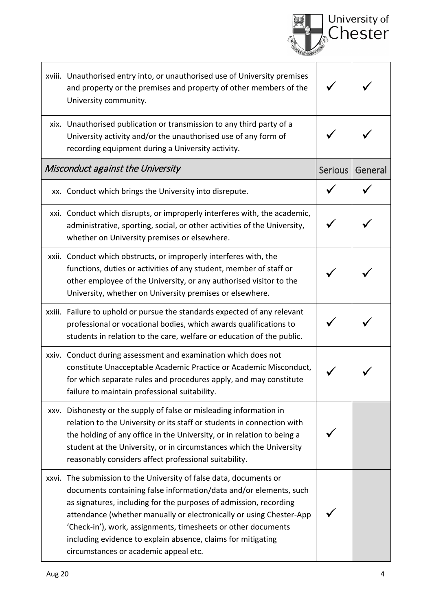|                                                                                                                                                                                                                                                                                                                                                                                                                                                               |                | University of<br>Chester |
|---------------------------------------------------------------------------------------------------------------------------------------------------------------------------------------------------------------------------------------------------------------------------------------------------------------------------------------------------------------------------------------------------------------------------------------------------------------|----------------|--------------------------|
| xviii. Unauthorised entry into, or unauthorised use of University premises<br>and property or the premises and property of other members of the<br>University community.                                                                                                                                                                                                                                                                                      |                |                          |
| xix. Unauthorised publication or transmission to any third party of a<br>University activity and/or the unauthorised use of any form of<br>recording equipment during a University activity.                                                                                                                                                                                                                                                                  |                |                          |
| Misconduct against the University                                                                                                                                                                                                                                                                                                                                                                                                                             | <b>Serious</b> | General                  |
| xx. Conduct which brings the University into disrepute.                                                                                                                                                                                                                                                                                                                                                                                                       |                |                          |
| xxi. Conduct which disrupts, or improperly interferes with, the academic,<br>administrative, sporting, social, or other activities of the University,<br>whether on University premises or elsewhere.                                                                                                                                                                                                                                                         |                |                          |
| xxii. Conduct which obstructs, or improperly interferes with, the<br>functions, duties or activities of any student, member of staff or<br>other employee of the University, or any authorised visitor to the<br>University, whether on University premises or elsewhere.                                                                                                                                                                                     |                |                          |
| xxiii. Failure to uphold or pursue the standards expected of any relevant<br>professional or vocational bodies, which awards qualifications to<br>students in relation to the care, welfare or education of the public.                                                                                                                                                                                                                                       |                |                          |
| xxiv. Conduct during assessment and examination which does not<br>constitute Unacceptable Academic Practice or Academic Misconduct,<br>for which separate rules and procedures apply, and may constitute<br>failure to maintain professional suitability.                                                                                                                                                                                                     |                |                          |
| xxv. Dishonesty or the supply of false or misleading information in<br>relation to the University or its staff or students in connection with<br>the holding of any office in the University, or in relation to being a<br>student at the University, or in circumstances which the University<br>reasonably considers affect professional suitability.                                                                                                       |                |                          |
| xxvi. The submission to the University of false data, documents or<br>documents containing false information/data and/or elements, such<br>as signatures, including for the purposes of admission, recording<br>attendance (whether manually or electronically or using Chester-App<br>'Check-in'), work, assignments, timesheets or other documents<br>including evidence to explain absence, claims for mitigating<br>circumstances or academic appeal etc. |                |                          |